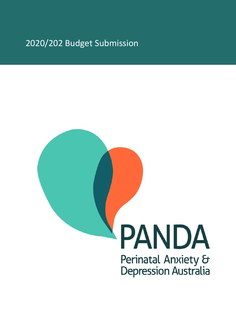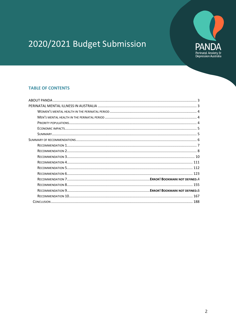

### **TABLE OF CONTENTS**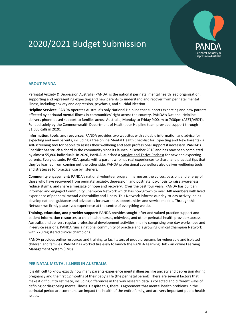

#### **ABOUT PANDA**

Perinatal Anxiety & Depression Australia (PANDA) is the national perinatal mental health lead organisation, supporting and representing expecting and new parents to understand and recover from perinatal mental illness, including anxiety and depression, psychosis, and suicidal ideation.

**Helpline Services:** PANDA operates Australia's only National Helpline that supports expecting and new parents affected by perinatal mental illness in communities' right across the country. PANDA's National Helpline delivers phone-based support to families across Australia, Monday to Friday 9:00am to 7:30pm (AEST/AEDT). Funded solely by the Commonwealth Department of Health, our Helpline team provided support through 31,500 calls in 2020.

**Information, tools, and resources:** PANDA provides two websites with valuable information and advice for expecting and new parents, including a free online [Mental Health Checklist for Expecting and New Parents](https://www.panda.org.au/info-support/checklists) - a self-screening tool for people to assess their wellbeing and seek professional support if necessary. PANDA's Checklist has struck a chord in the community since its launch in October 2018 and has now been completed by almost 55,800 individuals. In 2020, PANDA launched [a Survive and Thrive Podcast](https://www.panda.org.au/survive-and-thrive-pandas-podcast-for-expecting-and-new-parents) for new and expecting parents. Every episode, PANDA speaks with a parent who has real experiences to share, and practical tips that they've learned from coming out the other side. PANDA professional counsellors also deliver wellbeing tools and strategies for practical use by listeners.

**Community engagement:** PANDA's national volunteer program harnesses the voices, passion, and energy of those who have recovered from perinatal anxiety, depression, and postnatal psychosis to raise awareness, reduce stigma, and share a message of hope and recovery. Over the past four years, PANDA has built an informed and engaged [Community Champion Network](https://www.panda.org.au/get-involved/panda-community-champions) which has now grown to over 340 members with lived experience of perinatal mental vulnerability and illness. This Network informs our day-to-day activity, helps develop national guidance and advocates for awareness opportunities and service models. Through this Network we firmly place lived experience at the centre of everything we do.

**Training, education, and provider support:** PANDA provides sought-after and valued practice support and patient information resources to child health nurses, midwives, and other perinatal health providers across Australia, and delivers regular professional development activities, mainly comprising one-day workshops and in-service sessions. PANDA runs a national community of practice and a growing [Clinical Champion Network](https://www.panda.org.au/get-involved/panda-clinical-champions-network) with 220 registered clinical champions.

PANDA provides online resources and training to facilitators of group programs for vulnerable and isolated children and families. PANDA has worked tirelessly to launch the [PANDA Learning](https://www.panda.org.au/health-professionals/learninghub) Hub - an online Learning Management System (LMS).

#### <span id="page-2-0"></span>**PERINATAL MENTAL ILLNESS IN AUSTRALIA**

It is difficult to know exactly how many parents experience mental illnesses like anxiety and depression during pregnancy and the first 12 months of their baby's life (the perinatal period). There are several factors that make it difficult to estimate, including differences in the way research data is collected and different ways of defining or diagnosing mental illness. Despite this, there is agreement that mental health problems in the perinatal period are common, can impact the health of the entire family, and are very important public health issues.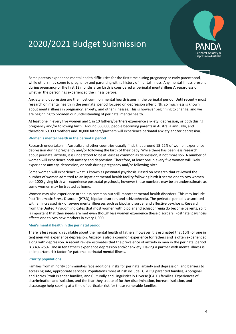

Some parents experience mental health difficulties for the first time during pregnancy or early parenthood, while others may come to pregnancy and parenting with a history of mental illness. Any mental illness present during pregnancy or the first 12 months after birth is considered a 'perinatal mental illness', regardless of whether the person has experienced the illness before.

Anxiety and depression are the most common mental health issues in the perinatal period. Until recently most research on mental health in the perinatal period focused on depression after birth, so much less is known about mental illness in pregnancy, anxiety, and other illnesses. This is however beginning to change, and we are beginning to broaden our understanding of perinatal mental health.

At least one in every five women and 1 in 10 fathers/partners experience anxiety, depression, or both during pregnancy and/or following birth. Around 600,000 people becoming parents in Australia annually, and therefore 60,000 mothers and 30,000 fathers/partners will experience perinatal anxiety and/or depression.

#### <span id="page-3-0"></span>**Women's mental health in the perinatal period**

Research undertaken in Australia and other countries usually finds that around 15-22% of women experience depression during pregnancy and/or following the birth of their baby. While there has been less research about perinatal anxiety, it is understood to be at least as common as depression, if not more so6. A number of women will experience both anxiety and depression. Therefore, at least one in every five women will likely experience anxiety, depression, or both during pregnancy and/or following birth.

Some women will experience what is known as postnatal psychosis. Based on research that reviewed the number of women admitted to an inpatient mental health facility following birth it seems one to two women per 1000 giving birth will experience postnatal psychosis, however these numbers may be an underestimate as some women may be treated at home.

Women may also experience other less common but still important mental health disorders. This may include Post Traumatic Stress Disorder (PTSD), bipolar disorder, and schizophrenia. The perinatal period is associated with an increased risk of severe mental illnesses such as bipolar disorder and affective psychosis. Research from the United Kingdom indicates that most women with bipolar and schizophrenia do become parents, so it is important that their needs are met even though less women experience these disorders. Postnatal psychosis affects one to two new mothers in every 1,000.

#### <span id="page-3-1"></span>**Men's mental health in the perinatal period**

There is less research available about the mental health of fathers, however it is estimated that 10% (or one in ten) men will experience depression. Anxiety is also a common experience for fathers and is often experienced along with depression. A recent review estimates that the prevalence of anxiety in men in the perinatal period is 3.4% -25%. One in ten fathers experience depression and/or anxiety. Having a partner with mental illness is an important risk factor for paternal perinatal mental illness.

#### <span id="page-3-2"></span>**Priority populations**

<span id="page-3-3"></span>Families from minority communities face additional risks for perinatal anxiety and depression, and barriers to accessing safe, appropriate services. Populations more at risk include LGBTIQ+ parented families, Aboriginal and Torres Strait Islander families, and Culturally and Linguistically Diverse (CALD) families. Experiences of discrimination and isolation, and the fear they create of further discrimination, increase isolation, and discourage help-seeking at a time of particular risk for these vulnerable families.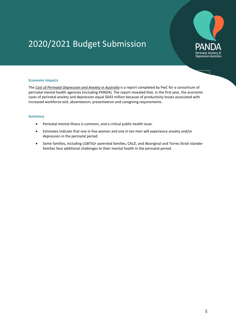

#### **Economic impacts**

The *[Cost of Perinatal Depression and Anxiety in Australia](https://panda.r.worldssl.net/images/uploads/Cost-of-PNDA-in-Australia_-Final-Report-061119-compressed.pdf)* is a report completed by PwC for a consortium of perinatal mental health agencies (including PANDA). The report revealed that, in the first year, the economic costs of perinatal anxiety and depression equal \$643 million because of productivity losses associated with increased workforce exit, absenteeism, presenteeism and caregiving requirements.

#### <span id="page-4-0"></span>**Summary**

- Perinatal mental illness is common, and a critical public health issue.
- Estimates indicate that one in five women and one in ten men will experience anxiety and/or depression in the perinatal period.
- Some families, including LGBTIQ+ parented families, CALD, and Aboriginal and Torres Strait Islander families face additional challenges to their mental health in the perinatal period.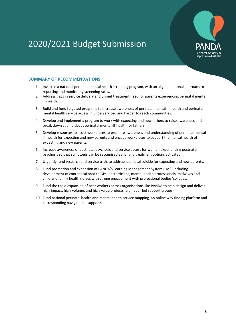

#### **SUMMARY OF RECOMMENDATIONS**

- 1. Invest in a national perinatal mental health screening program, with an aligned national approach to reporting and monitoring screening rates.
- 2. Address gaps in service delivery and unmet treatment need for parents experiencing perinatal mental ill-health.
- 3. Build and fund targeted programs to increase awareness of perinatal mental ill-health and perinatal mental health service access in underserviced and harder to reach communities.
- 4. Develop and implement a program to work with expecting and new fathers to raise awareness and break down stigma about perinatal mental ill-health for fathers.
- 5. Develop resources to assist workplaces to promote awareness and understanding of perinatal mental ill-health for expecting and new parents and engage workplaces to support the mental health of expecting and new parents.
- 6. Increase awareness of postnatal psychosis and service access for women experiencing postnatal psychosis so that symptoms can be recognised early, and treatment options activated.
- 7. Urgently fund research and service trials to address perinatal suicide for expecting and new parents.
- 8. Fund promotion and expansion of PANDA'S Learning Management System (LMS) including development of content tailored to GPs, obstetricians, mental health professionals, midwives and child and family health nurses with strong engagement with professional bodies/colleges.
- 9. Fund the rapid expansion of peer workers across organisations like PANDA to help design and deliver high-impact, high-volume, and high-value projects (e.g., peer-led support groups).
- 10. Fund national perinatal health and mental health service mapping, an online way finding platform and corresponding navigational supports.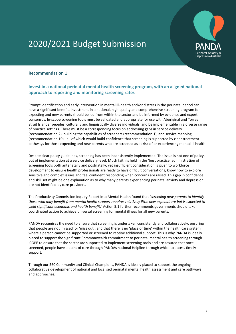

### <span id="page-6-0"></span>**Recommendation 1**

### **Invest in a national perinatal mental health screening program, with an aligned national approach to reporting and monitoring screening rates**

Prompt identification and early intervention in mental ill-health and/or distress in the perinatal period can have a significant benefit. Investment in a national, high quality and comprehensive screening program for expecting and new parents should be led from within the sector and be informed by evidence and expert consensus. In-scope screening tools must be validated and appropriate for use with Aboriginal and Torres Strait Islander peoples, culturally and linguistically diverse individuals, and be implementable in a diverse range of practice settings. There must be a corresponding focus on addressing gaps in service delivery (recommendation 2), building the capabilities of screeners (recommendation 1), and service mapping (recommendation 10) - all of which would build confidence that screening is supported by clear treatment pathways for those expecting and new parents who are screened as at risk of or experiencing mental ill health.

Despite clear policy guidelines, screening has been inconsistently implemented. The issue is not one of policy, but of implementation at a service delivery level. Much faith is held in the 'best practice' administration of screening tools both antenatally and postnatally, yet insufficient consideration is given to workforce development to ensure health professionals are ready to have difficult conversations, know how to explore sensitive and complex issues and feel confident responding when concerns are raised. This gap in confidence and skill set might be one explanation as to why many parents experiencing perinatal anxiety and depression are not identified by care providers.

The Productivity Commission Inquiry Report into Mental Health found that *'screening new parents to identify those who may benefit from mental health support requires relatively little new expenditure but is expected to yield significant economic and health benefit.'* Action 5.1 further recommends governments should take coordinated action to achieve universal screening for mental illness for all new parents.

PANDA recognises the need to ensure that screening is undertaken consistently and collaboratively, ensuring that people are not 'missed' or 'miss out', and that there is no 'place or time' within the health care system where a person cannot be supported or screened to receive additional support. This is why PANDA is ideally placed to support the significant Commonwealth commitment to perinatal mental health screening through iCOPE to ensure that the sector are supported to implement screening tools and are assured that once screened, people have a point of care through PANDAs national Helpline through which to access timely support.

Through our 560 Community and Clinical Champions, PANDA is ideally placed to support the ongoing collaborative development of national and localised perinatal mental health assessment and care pathways and approaches.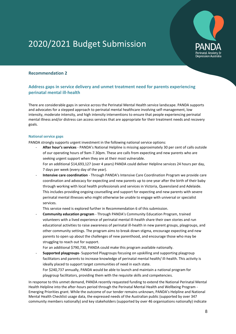

### <span id="page-7-0"></span>**Recommendation 2**

### **Address gaps in service delivery and unmet treatment need for parents experiencing perinatal mental ill-health**

There are considerable gaps in service across the Perinatal Mental Health service landscape. PANDA supports and advocates for a stepped approach to perinatal mental healthcare involving self-management, low intensity, moderate intensity, and high intensity interventions to ensure that people experiencing perinatal mental illness and/or distress can access services that are appropriate for their treatment needs and recovery goals.

#### **National service gaps**

PANDA strongly supports urgent investment in the following national service options:

- **After hour's services** PANDA's National Helpline is missing approximately 30 per cent of calls outside of our operating hours of 9am-7.30pm. These are calls from expecting and new parents who are seeking urgent support when they are at their most vulnerable. For an additional \$14,693,127 (over 4 years) PANDA could deliver Helpline services 24 hours per day, 7 days per week (every day of the year).
- **Intensive care coordination** Through PANDA's Intensive Care Coordination Program we provide care coordination and advocacy for expecting and new parents up to one year after the birth of their baby through working with local health professionals and services in Victoria, Queensland and Adelaide. This includes providing ongoing counselling and support for expecting and new parents with severe perinatal mental illnesses who might otherwise be unable to engage with universal or specialist services.

This service need is explored further in Recommendation 6 of this submission.

- **Community education program** - Through PANDA's Community Education Program, trained volunteers with a lived experience of perinatal mental ill-health share their own stories and run educational activities to raise awareness of perinatal ill-health in new parent groups, playgroups, and other community settings. The program aims to break down stigma, encourage expecting and new parents to open up about the challenges of new parenthood, and encourage those who may be struggling to reach out for support.

For an additional \$790,730, PANDA could make this program available nationally.

- **Supported playgroups**- Supported Playgroups focusing on upskilling and supporting playgroup facilitators and parents to increase knowledge of perinatal mental health/ ill-health. This activity is ideally placed to support target communities of need in each state. For \$240,737 annually, PANDA would be able to launch and maintain a national program for playgroup facilitators, providing them with the requisite skills and competencies.

In response to this unmet demand, PANDA recently requested funding to extend the National Perinatal Mental Health Helpline into the after-hours period through the Perinatal Mental Health and Wellbeing Program - Emerging Priorities grant. While the outcome of our tender remains unknown, PANDA's Helpline and National Mental Health Checklist usage data, the expressed needs of the Australian public (supported by over 347 community members nationally) and key stakeholders (supported by over 46 organisations nationally) indicate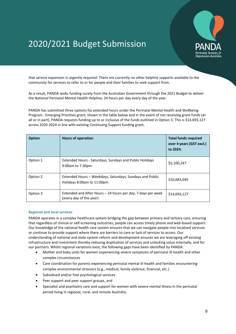

that service expansion is urgently required. There are currently no other helpline supports available to the community for services to refer to or for people and their families to seek support from.

As a result, PANDA seeks funding surety from the Australian Government through the 2021 Budget to deliver the National Perinatal Mental Health Helpline, 24 hours per day every day of the year.

PANDA has submitted three options for extended hours under the Perinatal Mental Health and Wellbeing Program - Emerging Priorities grant, shown in the table below and in the event of not receiving grant funds (at all or in part), PANDA requests funding up to or inclusive of the funds outlined in Option 3. This is \$14,693,127 across 2020-2024 in line with existing Continuing Support funding grant.

| <b>Option</b> | <b>Hours of operation</b>                                                               | <b>Total funds required</b><br>over 4 years (GST excl.)<br>to 2024. |
|---------------|-----------------------------------------------------------------------------------------|---------------------------------------------------------------------|
| Option 1      | <b>Extended Hours - Saturdays, Sundays and Public Holidays</b><br>9:00am to 7:30pm      | \$5,100,247                                                         |
| Option 2      | Extended Hours - Weekdays, Saturdays, Sundays and Public<br>Holidays 8:00am to 11:00pm  | \$10,683,045                                                        |
| Option 3      | Extended and After Hours – 24 hours per day, 7 days per week<br>(every day of the year) | \$14,693,127                                                        |

#### **Regional and local services**

PANDA operates in a complex healthcare system bridging the gap between primary and tertiary care, ensuring that regardless of clinical or self-screening outcomes, people can access timely phone and web-based support. Our knowledge of the national health care system ensures that we can navigate people into localised services or continue to provide support where there are barriers to care or lack of services to access. Our understanding of national and state system reform and development ensures we are leveraging off existing infrastructure and investment thereby reducing duplication of services and unlocking value internally, and for our partners. Whilst regional variations exist, the following gaps have been identified by PANDA:

- Mother and baby units for women experiencing severe symptoms of perinatal ill-health and other complex circumstances
- Care coordination for parents experiencing perinatal mental ill-health and families encountering complex environmental stressors (e.g., medical, family violence, financial, etc.)
- Subsidised and/or free psychological services
- Peer support and peer support groups, and
- <span id="page-8-0"></span> Specialist and psychiatry care and support for women with severe mental illness in the perinatal period living in regional, rural, and remote Australia.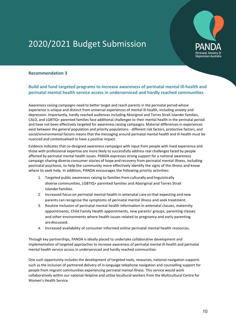

### **Recommendation 3**

### **Build and fund targeted programs to increase awareness of perinatal mental ill-health and perinatal mental health service access in underserviced and hardly reached communities**

Awareness raising campaigns need to better target and reach parents in the perinatal period whose experience is unique and distinct from universal experiences of mental ill-health, including anxiety and depression. Importantly, hardly reached audiences including Aboriginal and Torres Strait Islander families, CALD, and LGBTIQ+ parented families face additional challenges to their mental health in the perinatal period and have not been effectively targeted for awareness raising campaigns. Material differences in experiences exist between the general population and priority populations - different risk factors, protective factors, and social/environmental factors means that the messaging around perinatal mental health and ill-health must be nuanced and contextualised to have a positive impact.

Evidence indicates that co-designed awareness campaigns with input from people with lived experience and those with professional expertise are more likely to successfully address real challenges faced by people affected by perinatal mental health issues. PANDA expresses strong support for a national awareness campaign sharing diverse consumer stories of hope and recovery from perinatal mental illness, including postnatal psychosis, to help the community more effectively identify the signs of the illness and know where to seek help. In addition, PANDA encourages the following priority activities:

- 1. Targeted public awareness raising to families from culturally and linguistically diverse communities, LGBTIQ+ parented families and Aboriginal and Torres Strait Islanderfamilies.
- 2. Increased focus on perinatal mental health in antenatal care so that expecting and new parents can recognise the symptoms of perinatal mental illness and seek treatment.
- 3. Routine inclusion of perinatal mental health information in antenatal classes, maternity appointments, Child Family Health appointments, new parents' groups, parenting classes and other environments where health issues related to pregnancy and early parenting arediscussed.
- 4. Increased availability of consumer informed online perinatal mental health resources.

Through key partnerships, PANDA is ideally placed to undertake collaborative development and implementation of targeted approaches to increase awareness of perinatal mental ill-health and perinatal mental health service access in underserviced and hardly reached communities.

One such opportunity includes the development of targeted tools, resources, national navigation supports such as the inclusion of partnered delivery of in-language telephone navigation and counselling support for people from migrant communities experiencing perinatal mental illness. This service would work collaboratively within our national Helpline and utilise bicultural workers from the Multicultural Centre for Women's Health Service.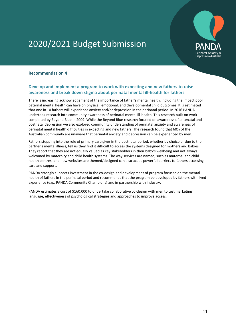

### <span id="page-10-0"></span>**Recommendation 4**

### **Develop and implement a program to work with expecting and new fathers to raise awareness and break down stigma about perinatal mental ill-health for fathers**

There is increasing acknowledgement of the importance of father's mental health, including the impact poor paternal mental health can have on physical, emotional, and developmental child outcomes. It is estimated that one in 10 fathers will experience anxiety and/or depression in the perinatal period. In 2016 PANDA undertook research into community awareness of perinatal mental ill-health. This research built on work completed by Beyond Blue in 2009. While the Beyond Blue research focused on awareness of antenatal and postnatal depression we also explored community understanding of perinatal anxiety and awareness of perinatal mental health difficulties in expecting and new fathers. The research found that 60% of the Australian community are unaware that perinatal anxiety and depression can be experienced by men.

Fathers stepping into the role of primary care giver in the postnatal period, whether by choice or due to their partner's mental illness, tell us they find it difficult to access the systems designed for mothers and babies. They report that they are not equally valued as key stakeholders in their baby's wellbeing and not always welcomed by maternity and child health systems. The way services are named, such as maternal and child health centres, and how websites are themed/designed can also act as powerful barriers to fathers accessing care and support.

PANDA strongly supports investment in the co-design and development of program focused on the mental health of fathers in the perinatal period and recommends that the program be developed by fathers with lived experience (e.g., PANDA Community Champions) and in partnership with industry.

<span id="page-10-1"></span>PANDA estimates a cost of \$160,000 to undertake collaborative co-design with men to test marketing language, effectiveness of psychological strategies and approaches to improve access.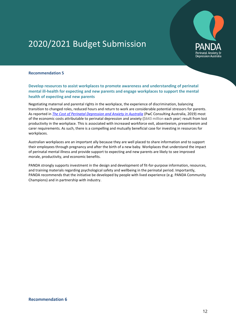

#### **Recommendation 5**

#### **Develop resources to assist workplaces to promote awareness and understanding of perinatal mental ill-health for expecting and new parents and engage workplaces to support the mental health of expecting and new parents**

Negotiating maternal and parental rights in the workplace, the experience of discrimination, balancing transition to changed roles, reduced hours and return to work are considerable potential stressors for parents. As reported in *[The Cost of Perinatal Depression and Anxiety in Australia](https://panda.r.worldssl.net/images/uploads/Cost-of-PNDA-in-Australia_-Final-Report-061119-compressed.pdf)* (PwC Consulting Australia, 2019) most of the economic costs attributable to perinatal depression and anxiety (\$643 million each year) result from lost productivity in the workplace. This is associated with increased workforce exit, absenteeism, presenteeism and carer requirements. As such, there is a compelling and mutually beneficial case for investing in resources for workplaces.

Australian workplaces are an important ally because they are well placed to share information and to support their employees through pregnancy and after the birth of a new baby. Workplaces that understand the impact of perinatal mental illness and provide support to expecting and new parents are likely to see improved morale, productivity, and economic benefits.

<span id="page-11-0"></span>PANDA strongly supports investment in the design and development of fit-for-purpose information, resources, and training materials regarding psychological safety and wellbeing in the perinatal period. Importantly, PANDA recommends that the initiative be developed by people with lived experience (e.g. PANDA Community Champions) and in partnership with industry.

#### **Recommendation 6**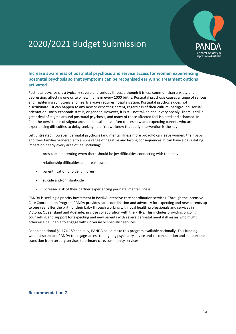

### **Increase awareness of postnatal psychosis and service access for women experiencing postnatal psychosis so that symptoms can be recognised early, and treatment options activated**

Postnatal psychosis is a typically severe and serious illness, although it is less common than anxiety and depression, affecting one or two new mums in every 1000 births. Postnatal psychosis causes a range of serious and frightening symptoms and nearly always requires hospitalisation. Postnatal psychosis does not discriminate – it can happen to any new or expecting parent, regardless of their culture, background, sexual orientation, socio-economic status, or gender. However, it is still not talked about very openly. There is still a great deal of stigma around postnatal psychosis, and many of those affected feel isolated and ashamed. In fact, the persistence of stigma around mental illness often causes new and expecting parents who are experiencing difficulties to delay seeking help. Yet we know that early intervention is the key.

Left untreated, however, perinatal psychosis (and mental illness more broadly) can leave women, their baby, and their families vulnerable to a wide range of negative and lasting consequences. It can have a devastating impact on nearly every area of life, including:

- pressure in parenting when there should be joy difficulties connecting with the baby
- relationship difficulties and breakdown
- parentification of older children
- suicide and/or infanticide
- increased risk of their partner experiencing perinatal mental illness.

PANDA is seeking a priority investment in PANDA intensive care coordination services. Through the Intensive Care Coordination Program PANDA provides care coordination and advocacy for expecting and new parents up to one year after the birth of their baby through working with local health professionals and services in Victoria, Queensland and Adelaide, in close collaboration with the PHNs. This includes providing ongoing counselling and support for expecting and new parents with severe perinatal mental illnesses who might otherwise be unable to engage with universal or specialist services.

For an additional \$1,174,189 annually, PANDA could make this program available nationally. This funding would also enable PANDA to engage access to ongoing psychiatry advice and co-consultation and support the transition from tertiary services to primary care/community services.

#### **Recommendation 7**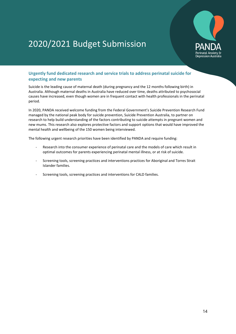

### **Urgently fund dedicated research and service trials to address perinatal suicide for expecting and new parents**

Suicide is the leading cause of maternal death (during pregnancy and the 12 months following birth) in Australia. Although maternal deaths in Australia have reduced over time, deaths attributed to psychosocial causes have increased, even though women are in frequent contact with health professionals in the perinatal period.

In 2020, PANDA received welcome funding from the Federal Government's Suicide Prevention Research Fund managed by the national peak body for suicide prevention, Suicide Prevention Australia, to partner on research to help build understanding of the factors contributing to suicide attempts in pregnant women and new mums. This research also explores protective factors and support options that would have improved the mental health and wellbeing of the 150 women being interviewed.

The following urgent research priorities have been identified by PANDA and require funding:

- Research into the consumer experience of perinatal care and the models of care which result in optimal outcomes for parents experiencing perinatal mental illness, or at risk of suicide.
- Screening tools, screening practices and interventions practices for Aboriginal and Torres Strait Islander families.
- <span id="page-13-0"></span>- Screening tools, screening practices and interventions for CALD families.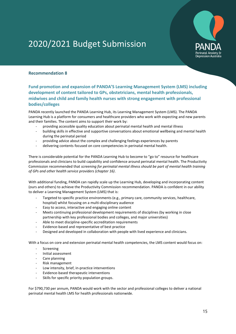

### **Recommendation 8**

**Fund promotion and expansion of PANDA'S Learning Management System (LMS) including development of content tailored to GPs, obstetricians, mental health professionals, midwives and child and family health nurses with strong engagement with professional bodies/colleges** 

PANDA recently launched the PANDA Learning Hub, its Learning Management System (LMS). The PANDA Learning Hub is a platform for consumers and healthcare providers who work with expecting and new parents and their families. The content aims to support their work by:

- providing accessible quality education about perinatal mental health and mental illness
- building skills in effective and supportive conversations about emotional wellbeing and mental health during the perinatal period
- providing advice about the complex and challenging feelings experiences by parents
- delivering contents focused on core competencies in perinatal mental health.

There is considerable potential for the PANDA Learning Hub to become to "go to" resource for healthcare professionals and clinicians to build capability and confidence around perinatal mental health. The Productivity Commission recommended that *screening for perinatal mental illness should be part of mental health training of GPs and other health service providers (chapter 16)*.

With additional funding, PANDA can rapidly scale up the Learning Hub, developing and incorporating content (ours and others) to achieve the Productivity Commission recommendation. PANDA is confident in our ability to deliver a Learning Management System (LMS) that is:

- Targeted to specific practice environments (e.g., primary care, community services, healthcare, hospital) whilst focusing on a multi-disciplinary audience
- Easy to access, interactive and engaging online content
- Meets continuing professional development requirements of disciplines (by working in close partnership with key professional bodies and colleges, and major universities)
- Able to meet discipline-specific accreditation requirements
- Evidence-based and representative of best practice
- Designed and developed in collaboration with people with lived experience and clinicians.

With a focus on core and extension perinatal mental health competencies, the LMS content would focus on:

- Screening
- Initial assessment
- Care planning
- Risk management
- Low intensity, brief, in-practice interventions
- Evidence-based therapeutic interventions
- Skills for specific priority population groups.

For \$790,730 per annum, PANDA would work with the sector and professional colleges to deliver a national perinatal mental health LMS for health professionals nationwide.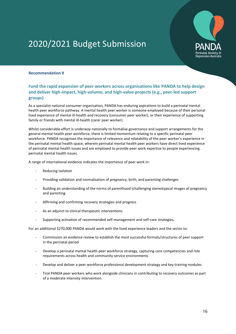

#### **Recommendation 9**

### **Fund the rapid expansion of peer workers across organisations like PANDA to help design and deliver high-impact, high-volume, and high-value projects (e.g., peer-led support groups)**

As a specialist national consumer organisation, PANDA has enduring aspirations to build a perinatal mental health peer workforce pathway. A mental health peer worker is someone employed because of their personal lived experience of mental ill-health and recovery (consumer peer worker), or their experience of supporting family or friends with mental ill-health (carer peer worker).

Whilst considerable effort is underway nationally to formalise governance and support arrangements for the general mental health peer workforce, there is limited momentum relating to a specific perinatal peer workforce. PANDA recognises the importance of relevance and relatability of the peer worker's experience in the perinatal mental health space; wherein perinatal mental health peer workers have direct lived experience of perinatal mental health issues and are employed to provide peer work expertise to people experiencing perinatal mental health issues.

A range of international evidence indicates the importance of peer work in:

- Reducing isolation
- Providing validation and normalisation of pregnancy, birth, and parenting challenges
- Building an understanding of the norms of parenthood (challenging stereotypical images of pregnancy and parenting
- Affirming and confirming recovery strategies and progress
- As an adjunct to clinical therapeutic interventions
- Supporting activation of recommended self-management and self-care strategies.

For an additional \$270,000 PANDA would work with the lived experience leaders and the sector to:

- Commission an evidence review to establish the most successful formats/structures of peer support in the perinatal period
- Develop a perinatal mental health peer workforce strategy, capturing core competencies and role requirements across health and community service environments
- Develop and deliver a peer workforce professional development strategy and key training modules
- <span id="page-15-0"></span>- Trial PANDA peer workers who work alongside clinicians in contributing to recovery outcomes as part of a moderate intensity intervention.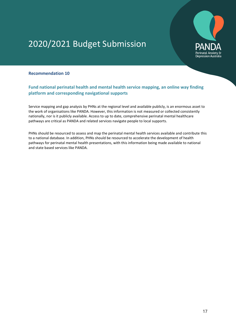

### **Recommendation 10**

### **Fund national perinatal health and mental health service mapping, an online way finding platform and corresponding navigational supports**

Service mapping and gap analysis by PHNs at the regional level and available publicly, is an enormous asset to the work of organisations like PANDA. However, this information is not measured or collected consistently nationally, nor is it publicly available. Access to up to date, comprehensive perinatal mental healthcare pathways are critical as PANDA and related services navigate people to local supports.

PHNs should be resourced to assess and map the perinatal mental health services available and contribute this to a national database. In addition, PHNs should be resourced to accelerate the development of health pathways for perinatal mental health presentations, with this information being made available to national and state based services like PANDA.